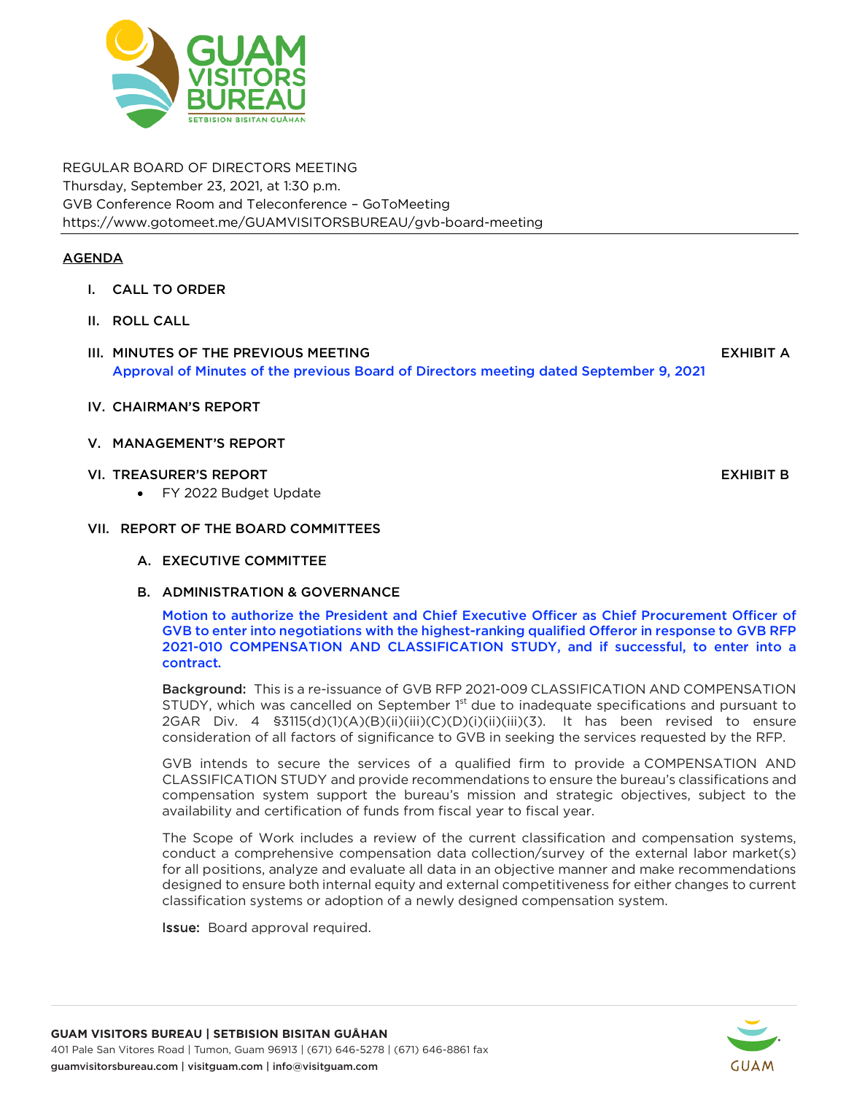

REGULAR BOARD OF DIRECTORS MEETING Thursday, September 23, 2021, at 1:30 p.m. GVB Conference Room and Teleconference – GoToMeeting https://www.gotomeet.me/GUAMVISITORSBUREAU/gvb-board-meeting

# **AGENDA**

- I. CALL TO ORDER
- II. ROLL CALL
- III. MINUTES OF THE PREVIOUS MEETING AND A REVIOUS OF THE PREVIOUS OF THE PREVIOUS OF THE PREVIOUS OF THE PREVIOUS Approval of Minutes of the previous Board of Directors meeting dated September 9, 2021
- IV. CHAIRMAN'S REPORT
- V. MANAGEMENT'S REPORT
- VI. TREASURER'S REPORT FRAGGIST AND THE SERVICE OF THE SERVICE OF THE SERVICE OF THE SERVICE OF THE SERVICE OF
	- FY 2022 Budget Update

# VII. REPORT OF THE BOARD COMMITTEES

- A. EXECUTIVE COMMITTEE
- B. ADMINISTRATION & GOVERNANCE

Motion to authorize the President and Chief Executive Officer as Chief Procurement Officer of GVB to enter into negotiations with the highest-ranking qualified Offeror in response to GVB RFP 2021-010 COMPENSATION AND CLASSIFICATION STUDY, and if successful, to enter into a contract.

Background: This is a re-issuance of GVB RFP 2021-009 CLASSIFICATION AND COMPENSATION STUDY, which was cancelled on September 1<sup>st</sup> due to inadequate specifications and pursuant to 2GAR Div. 4 §3115(d)(1)(A)(B)(ii)(iii)(C)(D)(i)(ii)(iii)(3). It has been revised to ensure consideration of all factors of significance to GVB in seeking the services requested by the RFP.

GVB intends to secure the services of a qualified firm to provide a COMPENSATION AND CLASSIFICATION STUDY and provide recommendations to ensure the bureau's classifications and compensation system support the bureau's mission and strategic objectives, subject to the availability and certification of funds from fiscal year to fiscal year.

The Scope of Work includes a review of the current classification and compensation systems, conduct a comprehensive compensation data collection/survey of the external labor market(s) for all positions, analyze and evaluate all data in an objective manner and make recommendations designed to ensure both internal equity and external competitiveness for either changes to current classification systems or adoption of a newly designed compensation system.

Issue: Board approval required.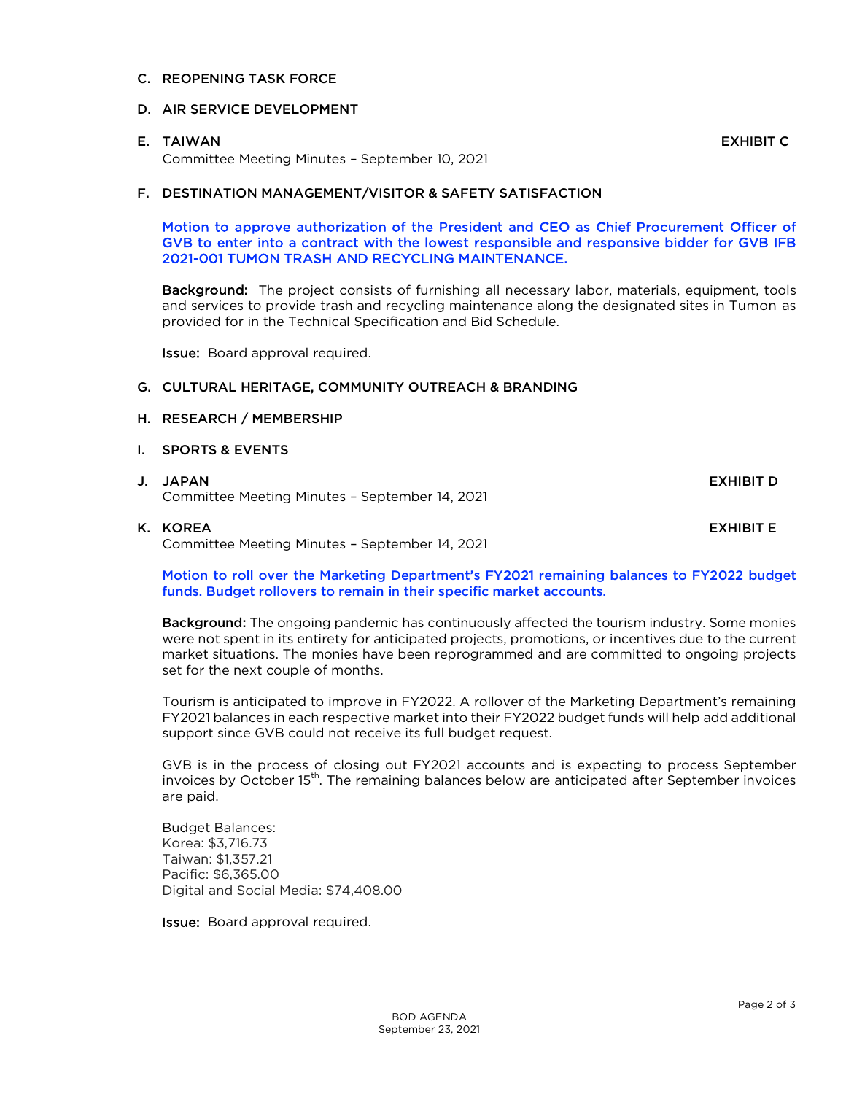## C. REOPENING TASK FORCE

## D. AIR SERVICE DEVELOPMENT

## E. TAIWAN EXHIBIT C

Committee Meeting Minutes – September 10, 2021

## F. DESTINATION MANAGEMENT/VISITOR & SAFETY SATISFACTION

Motion to approve authorization of the President and CEO as Chief Procurement Officer of GVB to enter into a contract with the lowest responsible and responsive bidder for GVB IFB 2021-001 TUMON TRASH AND RECYCLING MAINTENANCE.

Background: The project consists of furnishing all necessary labor, materials, equipment, tools and services to provide trash and recycling maintenance along the designated sites in Tumon as provided for in the Technical Specification and Bid Schedule.

Issue: Board approval required.

## G. CULTURAL HERITAGE, COMMUNITY OUTREACH & BRANDING

#### H. RESEARCH / MEMBERSHIP

- I. SPORTS & EVENTS
- J. JAPAN EXHIBIT D Committee Meeting Minutes – September 14, 2021

K. KOREA EXHIBIT E Committee Meeting Minutes – September 14, 2021

Motion to roll over the Marketing Department's FY2021 remaining balances to FY2022 budget funds. Budget rollovers to remain in their specific market accounts.

**Background:** The ongoing pandemic has continuously affected the tourism industry. Some monies were not spent in its entirety for anticipated projects, promotions, or incentives due to the current market situations. The monies have been reprogrammed and are committed to ongoing projects set for the next couple of months.

Tourism is anticipated to improve in FY2022. A rollover of the Marketing Department's remaining FY2021 balances in each respective market into their FY2022 budget funds will help add additional support since GVB could not receive its full budget request.

GVB is in the process of closing out FY2021 accounts and is expecting to process September invoices by October 15<sup>th</sup>. The remaining balances below are anticipated after September invoices are paid.

Budget Balances: Korea: \$3,716.73 Taiwan: \$1,357.21 Pacific: \$6,365.00 Digital and Social Media: \$74,408.00

Issue: Board approval required.